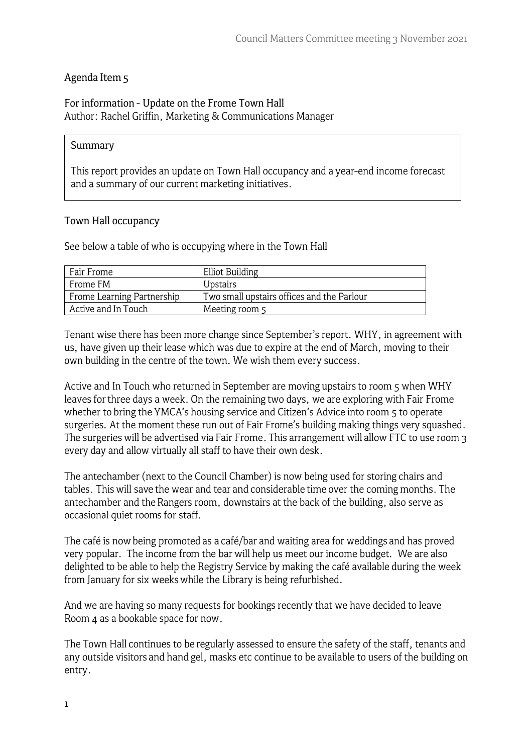### Agenda Item 5

#### For information - Update on the Frome Town Hall Author: Rachel Griffin, Marketing & Communications Manager

### **Summary**

This report provides an update on Town Hall occupancy and a year-end income forecast and a summary of our current marketing initiatives.

### **Town Hall occupancy**

See below a table of who is occupying where in the Town Hall

| Fair Frome                 | Elliot Building                            |
|----------------------------|--------------------------------------------|
| Frome FM                   | Upstairs                                   |
| Frome Learning Partnership | Two small upstairs offices and the Parlour |
| Active and In Touch        | Meeting room 5                             |

Tenant wise there has been more change since September's report. WHY, in agreement with us, have given up their lease which was due to expire at the end of March, moving to their own building in the centre of the town. We wish them every success.

Active and In Touch who returned in September are moving upstairs to room 5 when WHY leaves for three days a week. On the remaining two days, we are exploring with Fair Frome whether to bring the YMCA's housing service and Citizen's Advice into room 5 to operate surgeries. At the moment these run out of Fair Frome's building making things very squashed. The surgeries will be advertised via Fair Frome. This arrangement will allow FTC to use room 3 every day and allow virtually all staff to have their own desk.

The antechamber (next to the Council Chamber) is now being used for storing chairs and tables. This will save the wear and tear and considerable time over the coming months. The antechamber and the Rangers room, downstairs at the back of the building, also serve as occasional quiet rooms for staff.

The café is now being promoted as a café/bar and waiting area for weddings and has proved very popular. The income from the bar will help us meet our income budget. We are also delighted to be able to help the Registry Service by making the café available during the week from January for six weeks while the Library is being refurbished.

And we are having so many requests for bookings recently that we have decided to leave Room 4 as a bookable space for now.

The Town Hall continues to be regularly assessed to ensure the safety of the staff, tenants and any outside visitors and hand gel, masks etc continue to be available to users of the building on entry.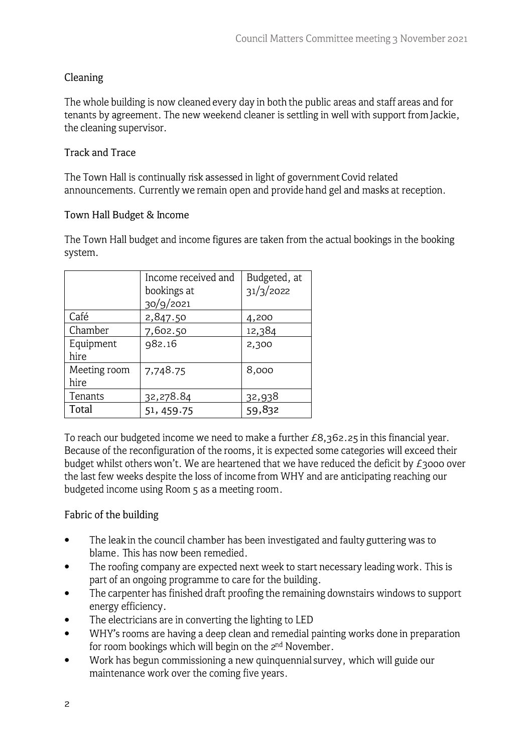# **Cleaning**

The whole building is now cleaned every day in both the public areas and staff areas and for tenants by agreement. The new weekend cleaner is settling in well with support from Jackie, the cleaning supervisor.

## **Track and Trace**

The Town Hall is continually risk assessed in light of government Covid related announcements. Currently we remain open and provide hand gel and masks at reception.

## **Town Hall Budget** & **Income**

The Town Hall budget and income figures are taken from the actual bookings in the booking system.

|              | Income received and | Budgeted, at |
|--------------|---------------------|--------------|
|              | bookings at         | 31/3/2022    |
|              | 30/9/2021           |              |
| Café         | 2,847.50            | 4,200        |
| Chamber      | 7,602.50            | 12,384       |
| Equipment    | 982.16              | 2,300        |
| hire         |                     |              |
| Meeting room | 7,748.75            | 8,000        |
| hire         |                     |              |
| Tenants      | 32,278.84           | 32,938       |
| Total        | 51, 459.75          | 59,832       |

To reach our budgeted income we need to make a further £8,362. 25 in this financial year. Because of the reconfiguration of the rooms, it is expected some categories will exceed their budget whilst others won't. We are heartened that we have reduced the deficit by  $E_3$ 000 over the last few weeks despite the loss of income from WHY and are anticipating reaching our budgeted income using Room 5 as a meeting room.

# Fabric of the building

- The leak in the council chamber has been investigated and faulty guttering was to blame. This has now been remedied. •
- The roofing company are expected next week to start necessary leading work. This is part of an ongoing programme to care for the building. •
- The carpenter has finished draft proofing the remaining downstairs windows to support energy efficiency. •
- The electricians are in converting the lighting to LED •
- WHY's rooms are having a deep clean and remedial painting works done in preparation for room bookings which will begin on the 2<sup>nd</sup> November. •
- Work has begun commissioning a new quinquennial survey, which will guide our maintenance work over the coming five years. •